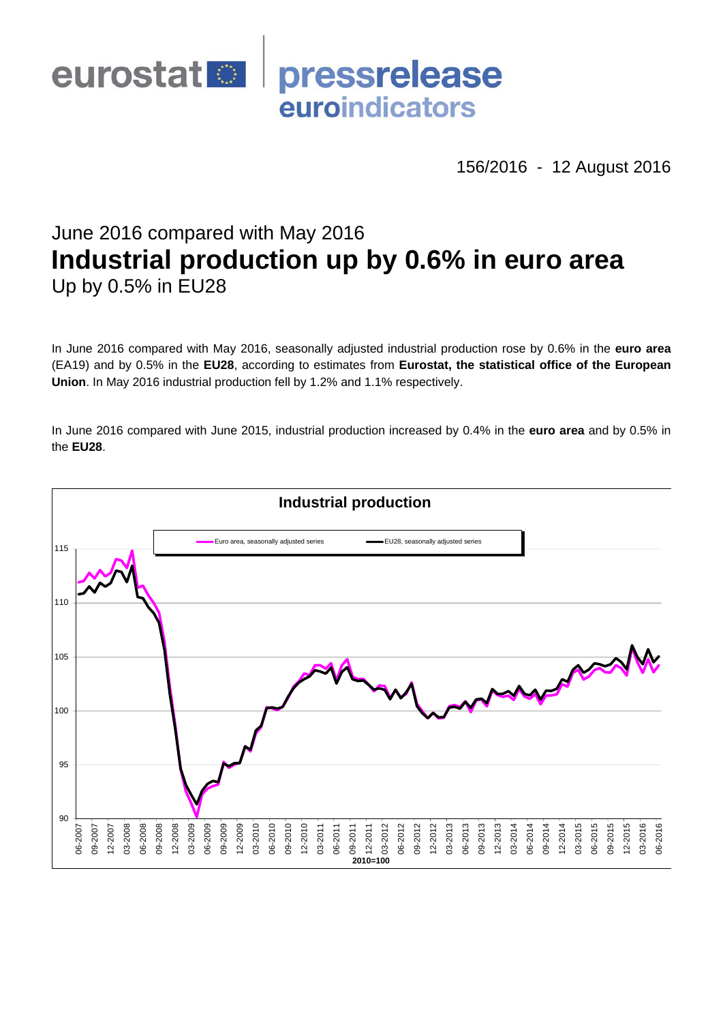

156/2016 - 12 August 2016

# June 2016 compared with May 2016 **Industrial production up by 0.6% in euro area**  Up by 0.5% in EU28

In June 2016 compared with May 2016, seasonally adjusted industrial production rose by 0.6% in the **euro area**  (EA19) and by 0.5% in the **EU28**, according to estimates from **Eurostat, the statistical office of the European Union**. In May 2016 industrial production fell by 1.2% and 1.1% respectively.

In June 2016 compared with June 2015, industrial production increased by 0.4% in the **euro area** and by 0.5% in the **EU28**.

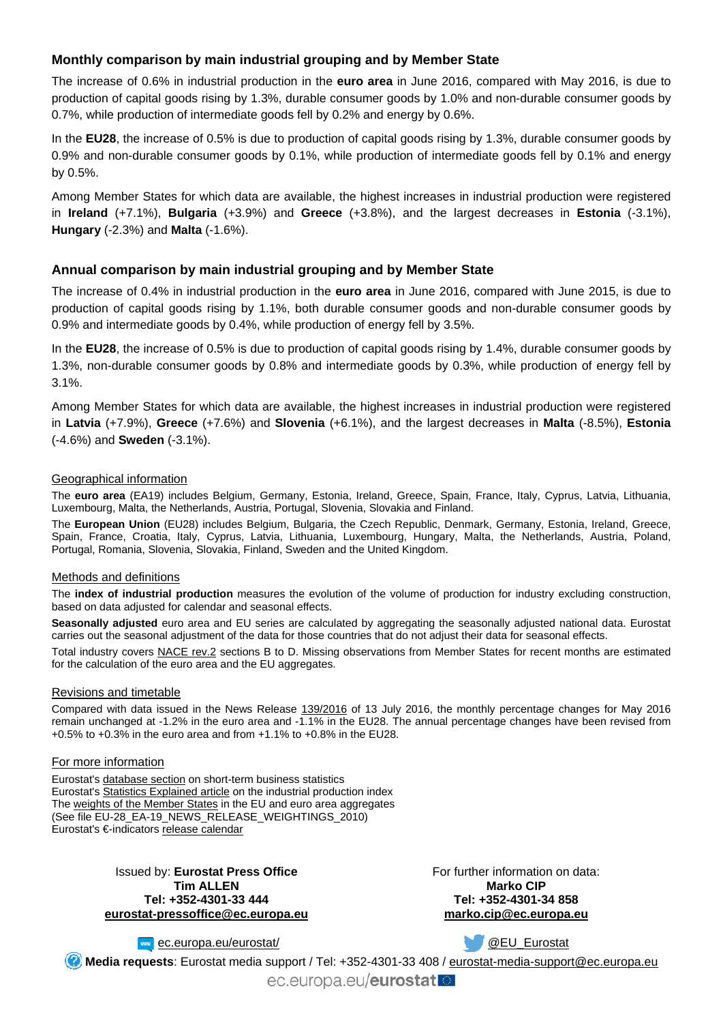## **Monthly comparison by main industrial grouping and by Member State**

The increase of 0.6% in industrial production in the **euro area** in June 2016, compared with May 2016, is due to production of capital goods rising by 1.3%, durable consumer goods by 1.0% and non-durable consumer goods by 0.7%, while production of intermediate goods fell by 0.2% and energy by 0.6%.

In the **EU28**, the increase of 0.5% is due to production of capital goods rising by 1.3%, durable consumer goods by 0.9% and non-durable consumer goods by 0.1%, while production of intermediate goods fell by 0.1% and energy by 0.5%.

Among Member States for which data are available, the highest increases in industrial production were registered in **Ireland** (+7.1%), **Bulgaria** (+3.9%) and **Greece** (+3.8%), and the largest decreases in **Estonia** (-3.1%), **Hungary** (-2.3%) and **Malta** (-1.6%).

## **Annual comparison by main industrial grouping and by Member State**

The increase of 0.4% in industrial production in the **euro area** in June 2016, compared with June 2015, is due to production of capital goods rising by 1.1%, both durable consumer goods and non-durable consumer goods by 0.9% and intermediate goods by 0.4%, while production of energy fell by 3.5%.

In the **EU28**, the increase of 0.5% is due to production of capital goods rising by 1.4%, durable consumer goods by 1.3%, non-durable consumer goods by 0.8% and intermediate goods by 0.3%, while production of energy fell by 3.1%.

Among Member States for which data are available, the highest increases in industrial production were registered in **Latvia** (+7.9%), **Greece** (+7.6%) and **Slovenia** (+6.1%), and the largest decreases in **Malta** (-8.5%), **Estonia** (-4.6%) and **Sweden** (-3.1%).

#### Geographical information

The **euro area** (EA19) includes Belgium, Germany, Estonia, Ireland, Greece, Spain, France, Italy, Cyprus, Latvia, Lithuania, Luxembourg, Malta, the Netherlands, Austria, Portugal, Slovenia, Slovakia and Finland.

The **European Union** (EU28) includes Belgium, Bulgaria, the Czech Republic, Denmark, Germany, Estonia, Ireland, Greece, Spain, France, Croatia, Italy, Cyprus, Latvia, Lithuania, Luxembourg, Hungary, Malta, the Netherlands, Austria, Poland, Portugal, Romania, Slovenia, Slovakia, Finland, Sweden and the United Kingdom.

## Methods and definitions

The **index of industrial production** measures the evolution of the volume of production for industry excluding construction, based on data adjusted for calendar and seasonal effects.

**Seasonally adjusted** euro area and EU series are calculated by aggregating the seasonally adjusted national data. Eurostat carries out the seasonal adjustment of the data for those countries that do not adjust their data for seasonal effects.

Total industry covers [NACE rev.2](http://ec.europa.eu/eurostat/ramon/nomenclatures/index.cfm?TargetUrl=LST_NOM_DTL&StrNom=NACE_REV2&StrLanguageCode=EN&IntPcKey=&StrLayoutCode=HIERARCHIC) sections B to D. Missing observations from Member States for recent months are estimated for the calculation of the euro area and the EU aggregates.

#### Revisions and timetable

Compared with data issued in the News Release [139/2016](http://ec.europa.eu/eurostat/documents/2995521/7559641/4-13072016-AP-EN.pdf/) of 13 July 2016, the monthly percentage changes for May 2016 remain unchanged at -1.2% in the euro area and -1.1% in the EU28. The annual percentage changes have been revised from  $+0.5\%$  to  $+0.3\%$  in the euro area and from  $+1.1\%$  to  $+0.8\%$  in the EU28.

#### For more information

Eurostat's [database section](http://ec.europa.eu/eurostat/web/short-term-business-statistics/data/database) on short-term business statistics Eurostat's [Statistics Explained article](http://ec.europa.eu/eurostat/statistics-explained/index.php/Industrial_production_(volume)_index_overview) on the industrial production index The [weights of the Member States](https://circabc.europa.eu/w/browse/5e6d1e48-056c-4c6a-8278-3ab138bcf575) in the EU and euro area aggregates (See file EU-28\_EA-19\_NEWS\_RELEASE\_WEIGHTINGS\_2010) Eurostat's €-indicators [release calendar](http://ec.europa.eu/eurostat/news/release-calendar)

> Issued by: **Eurostat Press Office Tim ALLEN Tel: +352-4301-33 444 [eurostat-pressoffice@ec.europa.eu](mailto:eurostat-pressoffice@ec.europa.eu)**

For further information on data: **Marko CIP Tel: +352-4301-34 858 [marko.cip@ec.europa.eu](mailto:marko.cip@ec.europa.eu)**

**Example 2** [ec.europa.eu/eurostat/](http://ec.europa.eu/eurostat/)

**W** @EU Eurostat

**Media requests**: Eurostat media support / Tel: +352-4301-33 408 / [eurostat-media-support@ec.europa.eu](mailto:eurostat-media-support@ec.europa.eu)

ec.europa.eu/eurostat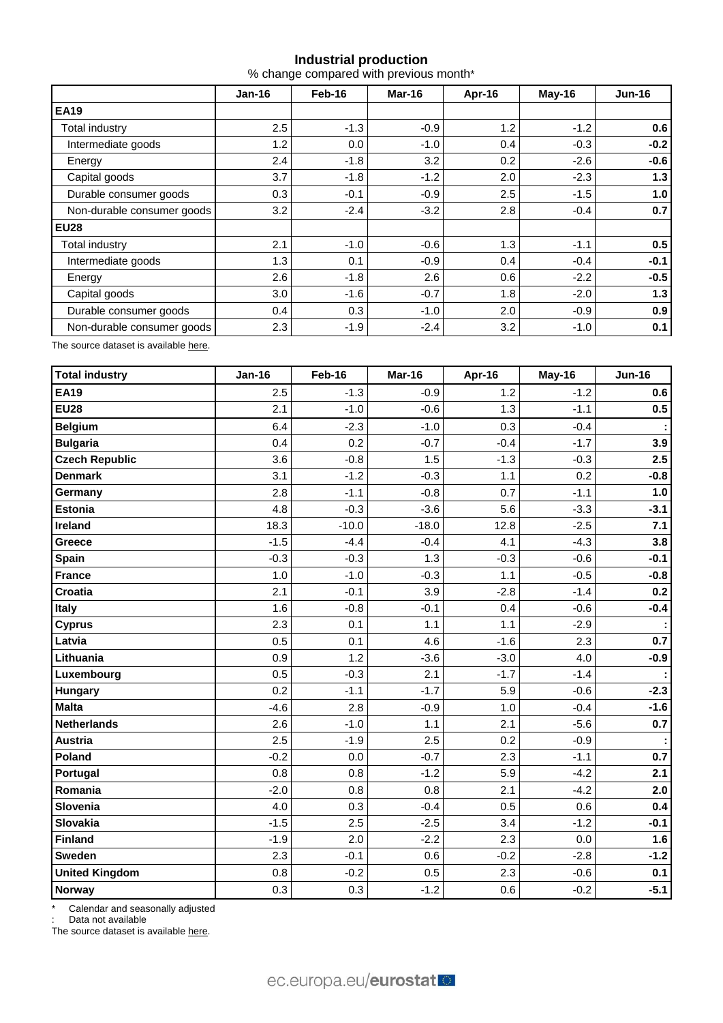# **Industrial production**

% change compared with previous month\*

|                            | <b>Jan-16</b> | Feb-16 | Mar-16 | Apr-16 | May-16 | <b>Jun-16</b> |
|----------------------------|---------------|--------|--------|--------|--------|---------------|
| <b>EA19</b>                |               |        |        |        |        |               |
| Total industry             | 2.5           | $-1.3$ | $-0.9$ | 1.2    | $-1.2$ | 0.6           |
| Intermediate goods         | 1.2           | 0.0    | $-1.0$ | 0.4    | $-0.3$ | $-0.2$        |
| Energy                     | 2.4           | $-1.8$ | 3.2    | 0.2    | $-2.6$ | $-0.6$        |
| Capital goods              | 3.7           | $-1.8$ | $-1.2$ | 2.0    | $-2.3$ | 1.3           |
| Durable consumer goods     | 0.3           | $-0.1$ | $-0.9$ | 2.5    | $-1.5$ | 1.0           |
| Non-durable consumer goods | 3.2           | $-2.4$ | $-3.2$ | 2.8    | $-0.4$ | 0.7           |
| <b>EU28</b>                |               |        |        |        |        |               |
| Total industry             | 2.1           | $-1.0$ | $-0.6$ | 1.3    | $-1.1$ | 0.5           |
| Intermediate goods         | 1.3           | 0.1    | $-0.9$ | 0.4    | $-0.4$ | $-0.1$        |
| Energy                     | 2.6           | $-1.8$ | 2.6    | 0.6    | $-2.2$ | $-0.5$        |
| Capital goods              | 3.0           | $-1.6$ | $-0.7$ | 1.8    | $-2.0$ | 1.3           |
| Durable consumer goods     | 0.4           | 0.3    | $-1.0$ | 2.0    | $-0.9$ | 0.9           |
| Non-durable consumer goods | 2.3           | $-1.9$ | $-2.4$ | 3.2    | $-1.0$ | 0.1           |

The source dataset is available [here](http://appsso.eurostat.ec.europa.eu/nui/show.do?query=BOOKMARK_DS-069583_QID_-53045BCF_UID_-3F171EB0&layout=TIME,C,X,0;GEO,L,Y,0;NACE_R2,L,Y,1;INDIC_BT,L,Z,0;S_ADJ,L,Z,1;UNIT,L,Z,2;INDICATORS,C,Z,3;&zSelection=DS-069583UNIT,PCH_PRE;DS-069583S_ADJ,SCA;DS-069583INDIC_BT,PROD;DS-069583INDICATORS,OBS_FLAG;&rankName1=UNIT_1_2_-1_2&rankName2=INDIC-BT_1_2_-1_2&rankName3=INDICATORS_1_2_-1_2&rankName4=S-ADJ_1_2_-1_2&rankName5=TIME_1_0_0_0&rankName6=GEO_1_0_0_1&rankName7=NACE-R2_1_2_1_1&sortR=ASC_-1_FIRST&sortC=ASC_-1_FIRST&rStp=&cStp=&rDCh=&cDCh=&rDM=true&cDM=true&footnes=false&empty=false&wai=false&time_mode=ROLLING&time_most_recent=true&lang=EN&cfo=%23%23%23%2C%23%23%23.%23%23%23).

| <b>Total industry</b> | <b>Jan-16</b> | Feb-16  | Mar-16  | Apr-16 | May-16 | <b>Jun-16</b> |
|-----------------------|---------------|---------|---------|--------|--------|---------------|
| <b>EA19</b>           | 2.5           | $-1.3$  | $-0.9$  | 1.2    | $-1.2$ | 0.6           |
| <b>EU28</b>           | 2.1           | $-1.0$  | $-0.6$  | 1.3    | $-1.1$ | 0.5           |
| <b>Belgium</b>        | 6.4           | $-2.3$  | $-1.0$  | 0.3    | $-0.4$ |               |
| <b>Bulgaria</b>       | 0.4           | 0.2     | $-0.7$  | $-0.4$ | $-1.7$ | 3.9           |
| <b>Czech Republic</b> | 3.6           | $-0.8$  | 1.5     | $-1.3$ | $-0.3$ | 2.5           |
| <b>Denmark</b>        | 3.1           | $-1.2$  | $-0.3$  | 1.1    | 0.2    | $-0.8$        |
| Germany               | 2.8           | $-1.1$  | $-0.8$  | 0.7    | $-1.1$ | 1.0           |
| <b>Estonia</b>        | 4.8           | $-0.3$  | $-3.6$  | 5.6    | $-3.3$ | $-3.1$        |
| <b>Ireland</b>        | 18.3          | $-10.0$ | $-18.0$ | 12.8   | $-2.5$ | 7.1           |
| Greece                | $-1.5$        | $-4.4$  | $-0.4$  | 4.1    | $-4.3$ | 3.8           |
| <b>Spain</b>          | $-0.3$        | $-0.3$  | 1.3     | $-0.3$ | $-0.6$ | $-0.1$        |
| <b>France</b>         | 1.0           | $-1.0$  | $-0.3$  | 1.1    | $-0.5$ | $-0.8$        |
| <b>Croatia</b>        | 2.1           | $-0.1$  | 3.9     | $-2.8$ | $-1.4$ | 0.2           |
| <b>Italy</b>          | 1.6           | $-0.8$  | $-0.1$  | 0.4    | $-0.6$ | $-0.4$        |
| <b>Cyprus</b>         | 2.3           | 0.1     | 1.1     | 1.1    | $-2.9$ |               |
| Latvia                | 0.5           | 0.1     | 4.6     | $-1.6$ | 2.3    | 0.7           |
| Lithuania             | 0.9           | 1.2     | $-3.6$  | $-3.0$ | 4.0    | $-0.9$        |
| Luxembourg            | 0.5           | $-0.3$  | 2.1     | $-1.7$ | $-1.4$ |               |
| Hungary               | 0.2           | $-1.1$  | $-1.7$  | 5.9    | $-0.6$ | $-2.3$        |
| <b>Malta</b>          | $-4.6$        | 2.8     | $-0.9$  | 1.0    | $-0.4$ | $-1.6$        |
| <b>Netherlands</b>    | 2.6           | $-1.0$  | 1.1     | 2.1    | $-5.6$ | 0.7           |
| <b>Austria</b>        | 2.5           | $-1.9$  | 2.5     | 0.2    | $-0.9$ |               |
| Poland                | $-0.2$        | 0.0     | $-0.7$  | 2.3    | $-1.1$ | 0.7           |
| Portugal              | 0.8           | 0.8     | $-1.2$  | 5.9    | $-4.2$ | 2.1           |
| Romania               | $-2.0$        | 0.8     | 0.8     | 2.1    | $-4.2$ | 2.0           |
| Slovenia              | 4.0           | 0.3     | $-0.4$  | 0.5    | 0.6    | 0.4           |
| Slovakia              | $-1.5$        | 2.5     | $-2.5$  | 3.4    | $-1.2$ | $-0.1$        |
| <b>Finland</b>        | $-1.9$        | 2.0     | $-2.2$  | 2.3    | 0.0    | 1.6           |
| <b>Sweden</b>         | 2.3           | $-0.1$  | 0.6     | $-0.2$ | $-2.8$ | $-1.2$        |
| <b>United Kingdom</b> | 0.8           | $-0.2$  | 0.5     | 2.3    | $-0.6$ | 0.1           |
| Norway                | 0.3           | 0.3     | $-1.2$  | 0.6    | $-0.2$ | $-5.1$        |

\* Calendar and seasonally adjusted

Data not available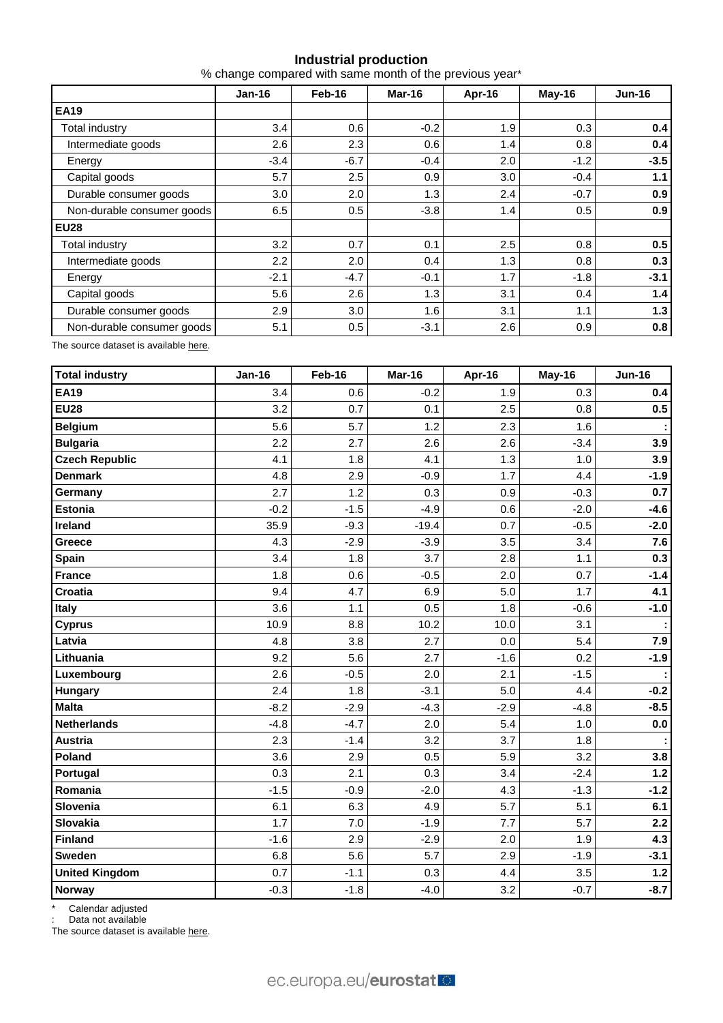## **Industrial production**

% change compared with same month of the previous year\*

|                            | <b>Jan-16</b> | Feb-16 | Mar-16 | Apr-16           | May-16 | <b>Jun-16</b> |
|----------------------------|---------------|--------|--------|------------------|--------|---------------|
| <b>EA19</b>                |               |        |        |                  |        |               |
| Total industry             | 3.4           | 0.6    | $-0.2$ | 1.9              | 0.3    | 0.4           |
| Intermediate goods         | 2.6           | 2.3    | 0.6    | 1.4              | 0.8    | 0.4           |
| Energy                     | $-3.4$        | $-6.7$ | $-0.4$ | 2.0              | $-1.2$ | $-3.5$        |
| Capital goods              | 5.7           | 2.5    | 0.9    | 3.0 <sub>2</sub> | $-0.4$ | 1.1           |
| Durable consumer goods     | 3.0           | 2.0    | 1.3    | 2.4              | $-0.7$ | 0.9           |
| Non-durable consumer goods | 6.5           | 0.5    | $-3.8$ | 1.4              | 0.5    | 0.9           |
| <b>EU28</b>                |               |        |        |                  |        |               |
| <b>Total industry</b>      | 3.2           | 0.7    | 0.1    | 2.5              | 0.8    | 0.5           |
| Intermediate goods         | 2.2           | 2.0    | 0.4    | 1.3              | 0.8    | 0.3           |
| Energy                     | $-2.1$        | $-4.7$ | $-0.1$ | 1.7              | $-1.8$ | $-3.1$        |
| Capital goods              | 5.6           | 2.6    | 1.3    | 3.1              | 0.4    | 1.4           |
| Durable consumer goods     | 2.9           | 3.0    | 1.6    | 3.1              | 1.1    | 1.3           |
| Non-durable consumer goods | 5.1           | 0.5    | $-3.1$ | 2.6              | 0.9    | 0.8           |

The source dataset is available [here](http://appsso.eurostat.ec.europa.eu/nui/show.do?query=BOOKMARK_DS-069583_QID_-628F3FF0_UID_-3F171EB0&layout=TIME,C,X,0;GEO,L,Y,0;NACE_R2,L,Y,1;INDIC_BT,L,Z,0;S_ADJ,L,Z,1;UNIT,L,Z,2;INDICATORS,C,Z,3;&zSelection=DS-069583UNIT,PCH_PRE;DS-069583S_ADJ,SCA;DS-069583INDIC_BT,PROD;DS-069583INDICATORS,OBS_FLAG;&rankName1=UNIT_1_2_-1_2&rankName2=INDIC-BT_1_2_-1_2&rankName3=INDICATORS_1_2_-1_2&rankName4=S-ADJ_1_2_-1_2&rankName5=TIME_1_0_0_0&rankName6=GEO_1_0_0_1&rankName7=NACE-R2_1_2_1_1&sortR=ASC_-1_FIRST&sortC=ASC_-1_FIRST&rStp=&cStp=&rDCh=&cDCh=&rDM=true&cDM=true&footnes=false&empty=false&wai=false&time_mode=ROLLING&time_most_recent=true&lang=EN&cfo=%23%23%23%2C%23%23%23.%23%23%23).

| <b>Total industry</b> | <b>Jan-16</b> | Feb-16 | Mar-16  | Apr-16 | May-16 | <b>Jun-16</b> |
|-----------------------|---------------|--------|---------|--------|--------|---------------|
| <b>EA19</b>           | 3.4           | 0.6    | $-0.2$  | 1.9    | 0.3    | 0.4           |
| <b>EU28</b>           | 3.2           | 0.7    | 0.1     | 2.5    | 0.8    | 0.5           |
| <b>Belgium</b>        | 5.6           | 5.7    | 1.2     | 2.3    | 1.6    |               |
| <b>Bulgaria</b>       | 2.2           | 2.7    | 2.6     | 2.6    | $-3.4$ | 3.9           |
| <b>Czech Republic</b> | 4.1           | 1.8    | 4.1     | 1.3    | 1.0    | 3.9           |
| <b>Denmark</b>        | 4.8           | 2.9    | $-0.9$  | 1.7    | 4.4    | $-1.9$        |
| Germany               | 2.7           | 1.2    | 0.3     | 0.9    | $-0.3$ | 0.7           |
| <b>Estonia</b>        | $-0.2$        | $-1.5$ | $-4.9$  | 0.6    | $-2.0$ | $-4.6$        |
| Ireland               | 35.9          | $-9.3$ | $-19.4$ | 0.7    | $-0.5$ | $-2.0$        |
| Greece                | 4.3           | $-2.9$ | $-3.9$  | 3.5    | 3.4    | 7.6           |
| <b>Spain</b>          | 3.4           | 1.8    | 3.7     | 2.8    | 1.1    | 0.3           |
| <b>France</b>         | 1.8           | 0.6    | $-0.5$  | 2.0    | 0.7    | $-1.4$        |
| Croatia               | 9.4           | 4.7    | 6.9     | 5.0    | 1.7    | 4.1           |
| Italy                 | 3.6           | 1.1    | 0.5     | 1.8    | $-0.6$ | $-1.0$        |
| <b>Cyprus</b>         | 10.9          | 8.8    | 10.2    | 10.0   | 3.1    |               |
| Latvia                | 4.8           | 3.8    | 2.7     | 0.0    | 5.4    | 7.9           |
| Lithuania             | 9.2           | 5.6    | 2.7     | $-1.6$ | 0.2    | $-1.9$        |
| Luxembourg            | 2.6           | $-0.5$ | 2.0     | 2.1    | $-1.5$ |               |
| <b>Hungary</b>        | 2.4           | 1.8    | $-3.1$  | 5.0    | 4.4    | $-0.2$        |
| <b>Malta</b>          | $-8.2$        | $-2.9$ | $-4.3$  | $-2.9$ | $-4.8$ | $-8.5$        |
| <b>Netherlands</b>    | $-4.8$        | $-4.7$ | 2.0     | 5.4    | 1.0    | 0.0           |
| <b>Austria</b>        | 2.3           | $-1.4$ | 3.2     | 3.7    | 1.8    |               |
| Poland                | 3.6           | 2.9    | 0.5     | 5.9    | 3.2    | 3.8           |
| Portugal              | 0.3           | 2.1    | 0.3     | 3.4    | $-2.4$ | $1.2$         |
| Romania               | $-1.5$        | $-0.9$ | $-2.0$  | 4.3    | $-1.3$ | $-1.2$        |
| Slovenia              | 6.1           | 6.3    | 4.9     | 5.7    | 5.1    | 6.1           |
| Slovakia              | 1.7           | 7.0    | $-1.9$  | 7.7    | 5.7    | 2.2           |
| <b>Finland</b>        | $-1.6$        | 2.9    | $-2.9$  | 2.0    | 1.9    | 4.3           |
| <b>Sweden</b>         | 6.8           | 5.6    | 5.7     | 2.9    | $-1.9$ | $-3.1$        |
| <b>United Kingdom</b> | 0.7           | $-1.1$ | 0.3     | 4.4    | 3.5    | $1.2$         |
| <b>Norway</b>         | $-0.3$        | $-1.8$ | $-4.0$  | 3.2    | $-0.7$ | $-8.7$        |

\* Calendar adjusted

: Data not available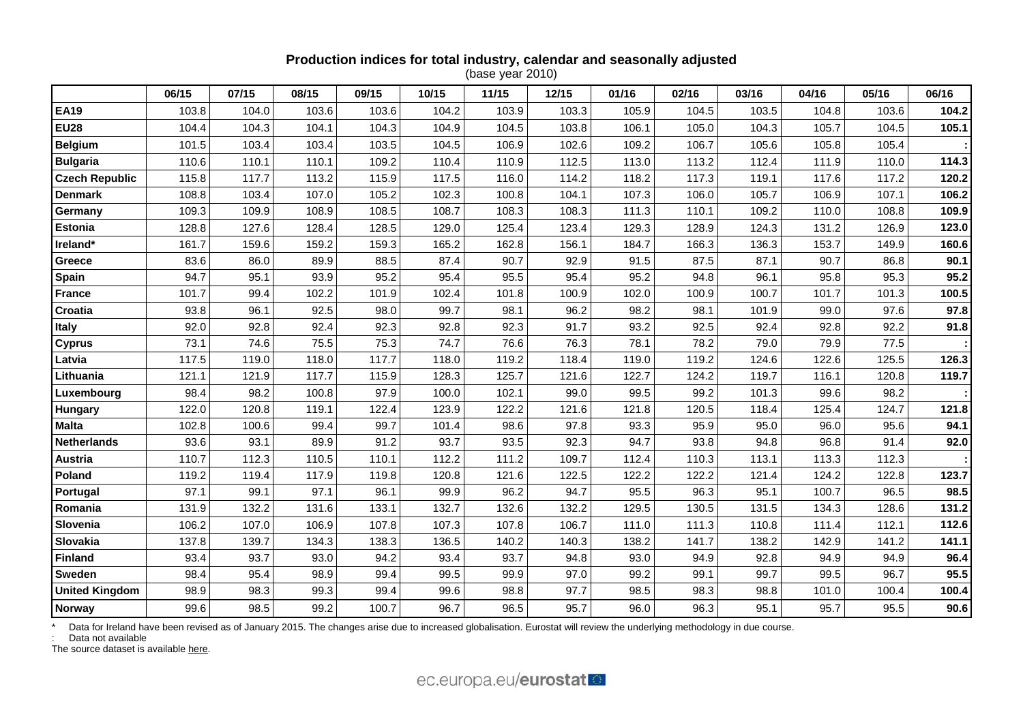# **Production indices for total industry, calendar and seasonally adjusted**

(base year 2010)

|                       | 06/15 | 07/15 | 08/15 | 09/15 | 10/15 | 11/15 | 12/15 | 01/16 | 02/16 | 03/16 | 04/16 | 05/16 | 06/16 |
|-----------------------|-------|-------|-------|-------|-------|-------|-------|-------|-------|-------|-------|-------|-------|
| <b>EA19</b>           | 103.8 | 104.0 | 103.6 | 103.6 | 104.2 | 103.9 | 103.3 | 105.9 | 104.5 | 103.5 | 104.8 | 103.6 | 104.2 |
| <b>EU28</b>           | 104.4 | 104.3 | 104.1 | 104.3 | 104.9 | 104.5 | 103.8 | 106.1 | 105.0 | 104.3 | 105.7 | 104.5 | 105.1 |
| <b>Belgium</b>        | 101.5 | 103.4 | 103.4 | 103.5 | 104.5 | 106.9 | 102.6 | 109.2 | 106.7 | 105.6 | 105.8 | 105.4 |       |
| <b>Bulgaria</b>       | 110.6 | 110.1 | 110.1 | 109.2 | 110.4 | 110.9 | 112.5 | 113.0 | 113.2 | 112.4 | 111.9 | 110.0 | 114.3 |
| <b>Czech Republic</b> | 115.8 | 117.7 | 113.2 | 115.9 | 117.5 | 116.0 | 114.2 | 118.2 | 117.3 | 119.1 | 117.6 | 117.2 | 120.2 |
| <b>Denmark</b>        | 108.8 | 103.4 | 107.0 | 105.2 | 102.3 | 100.8 | 104.1 | 107.3 | 106.0 | 105.7 | 106.9 | 107.1 | 106.2 |
| Germany               | 109.3 | 109.9 | 108.9 | 108.5 | 108.7 | 108.3 | 108.3 | 111.3 | 110.1 | 109.2 | 110.0 | 108.8 | 109.9 |
| <b>Estonia</b>        | 128.8 | 127.6 | 128.4 | 128.5 | 129.0 | 125.4 | 123.4 | 129.3 | 128.9 | 124.3 | 131.2 | 126.9 | 123.0 |
| Ireland*              | 161.7 | 159.6 | 159.2 | 159.3 | 165.2 | 162.8 | 156.1 | 184.7 | 166.3 | 136.3 | 153.7 | 149.9 | 160.6 |
| Greece                | 83.6  | 86.0  | 89.9  | 88.5  | 87.4  | 90.7  | 92.9  | 91.5  | 87.5  | 87.1  | 90.7  | 86.8  | 90.1  |
| Spain                 | 94.7  | 95.1  | 93.9  | 95.2  | 95.4  | 95.5  | 95.4  | 95.2  | 94.8  | 96.1  | 95.8  | 95.3  | 95.2  |
| <b>France</b>         | 101.7 | 99.4  | 102.2 | 101.9 | 102.4 | 101.8 | 100.9 | 102.0 | 100.9 | 100.7 | 101.7 | 101.3 | 100.5 |
| Croatia               | 93.8  | 96.1  | 92.5  | 98.0  | 99.7  | 98.1  | 96.2  | 98.2  | 98.1  | 101.9 | 99.0  | 97.6  | 97.8  |
| Italy                 | 92.0  | 92.8  | 92.4  | 92.3  | 92.8  | 92.3  | 91.7  | 93.2  | 92.5  | 92.4  | 92.8  | 92.2  | 91.8  |
| <b>Cyprus</b>         | 73.1  | 74.6  | 75.5  | 75.3  | 74.7  | 76.6  | 76.3  | 78.1  | 78.2  | 79.0  | 79.9  | 77.5  |       |
| Latvia                | 117.5 | 119.0 | 118.0 | 117.7 | 118.0 | 119.2 | 118.4 | 119.0 | 119.2 | 124.6 | 122.6 | 125.5 | 126.3 |
| Lithuania             | 121.1 | 121.9 | 117.7 | 115.9 | 128.3 | 125.7 | 121.6 | 122.7 | 124.2 | 119.7 | 116.1 | 120.8 | 119.7 |
| Luxembourg            | 98.4  | 98.2  | 100.8 | 97.9  | 100.0 | 102.1 | 99.0  | 99.5  | 99.2  | 101.3 | 99.6  | 98.2  |       |
| Hungary               | 122.0 | 120.8 | 119.1 | 122.4 | 123.9 | 122.2 | 121.6 | 121.8 | 120.5 | 118.4 | 125.4 | 124.7 | 121.8 |
| <b>Malta</b>          | 102.8 | 100.6 | 99.4  | 99.7  | 101.4 | 98.6  | 97.8  | 93.3  | 95.9  | 95.0  | 96.0  | 95.6  | 94.1  |
| <b>Netherlands</b>    | 93.6  | 93.1  | 89.9  | 91.2  | 93.7  | 93.5  | 92.3  | 94.7  | 93.8  | 94.8  | 96.8  | 91.4  | 92.0  |
| Austria               | 110.7 | 112.3 | 110.5 | 110.1 | 112.2 | 111.2 | 109.7 | 112.4 | 110.3 | 113.1 | 113.3 | 112.3 |       |
| Poland                | 119.2 | 119.4 | 117.9 | 119.8 | 120.8 | 121.6 | 122.5 | 122.2 | 122.2 | 121.4 | 124.2 | 122.8 | 123.7 |
| Portugal              | 97.1  | 99.1  | 97.1  | 96.1  | 99.9  | 96.2  | 94.7  | 95.5  | 96.3  | 95.1  | 100.7 | 96.5  | 98.5  |
| Romania               | 131.9 | 132.2 | 131.6 | 133.1 | 132.7 | 132.6 | 132.2 | 129.5 | 130.5 | 131.5 | 134.3 | 128.6 | 131.2 |
| Slovenia              | 106.2 | 107.0 | 106.9 | 107.8 | 107.3 | 107.8 | 106.7 | 111.0 | 111.3 | 110.8 | 111.4 | 112.1 | 112.6 |
| Slovakia              | 137.8 | 139.7 | 134.3 | 138.3 | 136.5 | 140.2 | 140.3 | 138.2 | 141.7 | 138.2 | 142.9 | 141.2 | 141.1 |
| <b>Finland</b>        | 93.4  | 93.7  | 93.0  | 94.2  | 93.4  | 93.7  | 94.8  | 93.0  | 94.9  | 92.8  | 94.9  | 94.9  | 96.4  |
| <b>Sweden</b>         | 98.4  | 95.4  | 98.9  | 99.4  | 99.5  | 99.9  | 97.0  | 99.2  | 99.1  | 99.7  | 99.5  | 96.7  | 95.5  |
| <b>United Kingdom</b> | 98.9  | 98.3  | 99.3  | 99.4  | 99.6  | 98.8  | 97.7  | 98.5  | 98.3  | 98.8  | 101.0 | 100.4 | 100.4 |
| Norway                | 99.6  | 98.5  | 99.2  | 100.7 | 96.7  | 96.5  | 95.7  | 96.0  | 96.3  | 95.1  | 95.7  | 95.5  | 90.6  |

\*Data for Ireland have been revised as of January 2015. The changes arise due to increased globalisation. Eurostat will review the underlying methodology in due course.

: Data not available